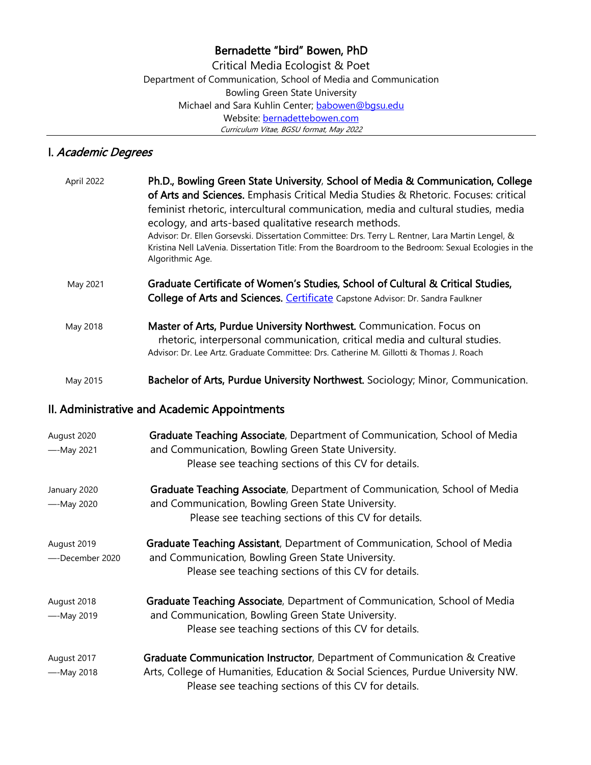## Bernadette "bird" Bowen, PhD

Critical Media Ecologist & Poet Department of Communication, School of Media and Communication Bowling Green State University Michael and Sara Kuhlin Center; [babowen@bgsu.edu](mailto:babowen@bgsu.edu) Website: [bernadettebowen.com](http://www.bernadettebowen.com/) Curriculum Vitae, BGSU format, May 2022

# I. Academic Degrees

| April 2022 | Ph.D., Bowling Green State University, School of Media & Communication, College<br>of Arts and Sciences. Emphasis Critical Media Studies & Rhetoric. Focuses: critical<br>feminist rhetoric, intercultural communication, media and cultural studies, media<br>ecology, and arts-based qualitative research methods.<br>Advisor: Dr. Ellen Gorsevski. Dissertation Committee: Drs. Terry L. Rentner, Lara Martin Lengel, &<br>Kristina Nell LaVenia. Dissertation Title: From the Boardroom to the Bedroom: Sexual Ecologies in the<br>Algorithmic Age. |
|------------|---------------------------------------------------------------------------------------------------------------------------------------------------------------------------------------------------------------------------------------------------------------------------------------------------------------------------------------------------------------------------------------------------------------------------------------------------------------------------------------------------------------------------------------------------------|
| May 2021   | Graduate Certificate of Women's Studies, School of Cultural & Critical Studies,<br>College of Arts and Sciences. Certificate Capstone Advisor: Dr. Sandra Faulkner                                                                                                                                                                                                                                                                                                                                                                                      |
| May 2018   | Master of Arts, Purdue University Northwest. Communication. Focus on<br>rhetoric, interpersonal communication, critical media and cultural studies.<br>Advisor: Dr. Lee Artz. Graduate Committee: Drs. Catherine M. Gillotti & Thomas J. Roach                                                                                                                                                                                                                                                                                                          |
| May 2015   | Bachelor of Arts, Purdue University Northwest. Sociology; Minor, Communication.                                                                                                                                                                                                                                                                                                                                                                                                                                                                         |

## II. Administrative and Academic Appointments

| August 2020<br>--May 2021      | Graduate Teaching Associate, Department of Communication, School of Media<br>and Communication, Bowling Green State University.<br>Please see teaching sections of this CV for details.                              |
|--------------------------------|----------------------------------------------------------------------------------------------------------------------------------------------------------------------------------------------------------------------|
| January 2020<br>$-$ -May 2020  | Graduate Teaching Associate, Department of Communication, School of Media<br>and Communication, Bowling Green State University.<br>Please see teaching sections of this CV for details.                              |
| August 2019<br>--December 2020 | Graduate Teaching Assistant, Department of Communication, School of Media<br>and Communication, Bowling Green State University.<br>Please see teaching sections of this CV for details.                              |
| August 2018<br>--May 2019      | Graduate Teaching Associate, Department of Communication, School of Media<br>and Communication, Bowling Green State University.<br>Please see teaching sections of this CV for details.                              |
| August 2017<br>--May 2018      | Graduate Communication Instructor, Department of Communication & Creative<br>Arts, College of Humanities, Education & Social Sciences, Purdue University NW.<br>Please see teaching sections of this CV for details. |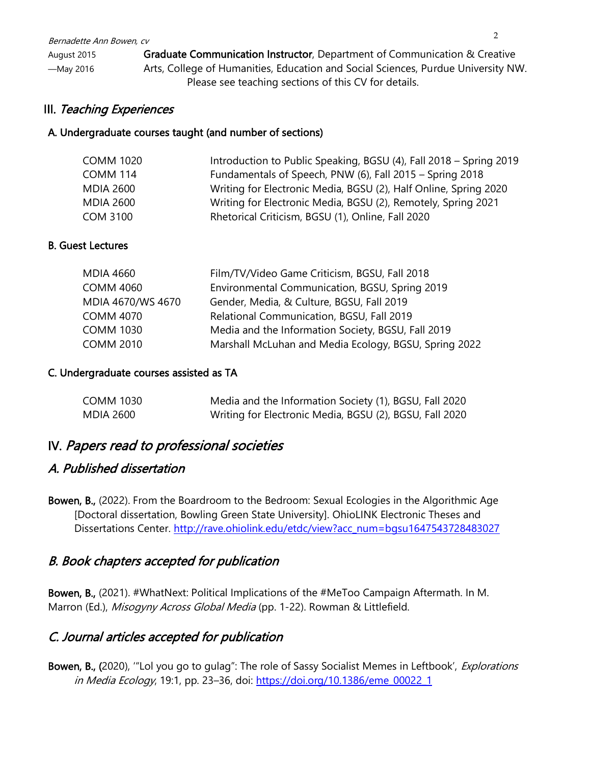August 2015 Graduate Communication Instructor, Department of Communication & Creative —May 2016 Arts, College of Humanities, Education and Social Sciences, Purdue University NW. Please see teaching sections of this CV for details.

## III. Teaching Experiences

#### A. Undergraduate courses taught (and number of sections)

| <b>COMM 1020</b> | Introduction to Public Speaking, BGSU (4), Fall 2018 – Spring 2019 |
|------------------|--------------------------------------------------------------------|
| <b>COMM 114</b>  | Fundamentals of Speech, PNW (6), Fall 2015 - Spring 2018           |
| <b>MDIA 2600</b> | Writing for Electronic Media, BGSU (2), Half Online, Spring 2020   |
| <b>MDIA 2600</b> | Writing for Electronic Media, BGSU (2), Remotely, Spring 2021      |
| <b>COM 3100</b>  | Rhetorical Criticism, BGSU (1), Online, Fall 2020                  |

#### B. Guest Lectures

| <b>MDIA 4660</b>  | Film/TV/Video Game Criticism, BGSU, Fall 2018         |
|-------------------|-------------------------------------------------------|
| <b>COMM 4060</b>  | Environmental Communication, BGSU, Spring 2019        |
| MDIA 4670/WS 4670 | Gender, Media, & Culture, BGSU, Fall 2019             |
| <b>COMM 4070</b>  | Relational Communication, BGSU, Fall 2019             |
| <b>COMM 1030</b>  | Media and the Information Society, BGSU, Fall 2019    |
| <b>COMM 2010</b>  | Marshall McLuhan and Media Ecology, BGSU, Spring 2022 |

#### C. Undergraduate courses assisted as TA

| COMM 1030 | Media and the Information Society (1), BGSU, Fall 2020  |
|-----------|---------------------------------------------------------|
| MDIA 2600 | Writing for Electronic Media, BGSU (2), BGSU, Fall 2020 |

# IV. Papers read to professional societies

### A. Published dissertation

Bowen, B., (2022). From the Boardroom to the Bedroom: Sexual Ecologies in the Algorithmic Age [Doctoral dissertation, Bowling Green State University]. OhioLINK Electronic Theses and Dissertations Center. [http://rave.ohiolink.edu/etdc/view?acc\\_num=bgsu1647543728483027](http://rave.ohiolink.edu/etdc/view?acc_num=bgsu1647543728483027)

# B. Book chapters accepted for publication

Bowen, B., (2021). #WhatNext: Political Implications of the #MeToo Campaign Aftermath. In M. Marron (Ed.), Misogyny Across Global Media (pp. 1-22). Rowman & Littlefield.

# C. Journal articles accepted for publication

Bowen, B., (2020), "Lol you go to gulag": The role of Sassy Socialist Memes in Leftbook', Explorations in Media Ecology, 19:1, pp. 23-36, doi: [https://doi.org/10.1386/eme\\_00022\\_1](https://doi.org/10.1386/eme_00022_1)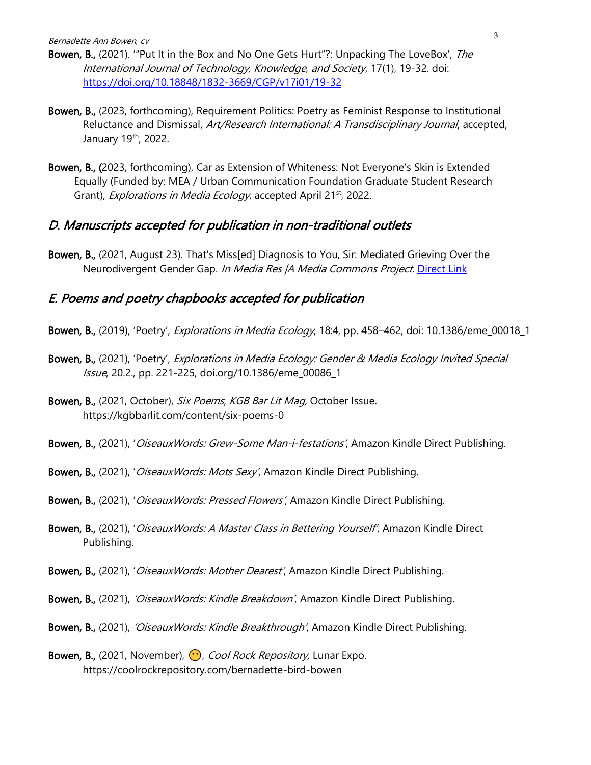Bernadette Ann Bowen, cv

- Bowen, B., (2021). "Put It in the Box and No One Gets Hurt"?: Unpacking The LoveBox', The International Journal of Technology, Knowledge, and Society, 17(1), 19-32. doi: <https://doi.org/10.18848/1832-3669/CGP/v17i01/19-32>
- Bowen, B., (2023, forthcoming), Requirement Politics: Poetry as Feminist Response to Institutional Reluctance and Dismissal, Art/Research International: A Transdisciplinary Journal, accepted, January 19<sup>th</sup>, 2022.
- Bowen, B., (2023, forthcoming), Car as Extension of Whiteness: Not Everyone's Skin is Extended Equally (Funded by: MEA / Urban Communication Foundation Graduate Student Research Grant), *Explorations in Media Ecology*, accepted April 21<sup>st</sup>, 2022.

#### D. Manuscripts accepted for publication in non-traditional outlets

Bowen, B., (2021, August 23). That's Miss[ed] Diagnosis to You, Sir: Mediated Grieving Over the Neurodivergent Gender Gap. In Media Res JA Media Commons Project. [Direct Link](http://mediacommons.org/imr/content/thats-missed-diagnosis-you-sir-mediated-grieving-over-neurodivergent-gender-gap)

#### E. Poems and poetry chapbooks accepted for publication

- Bowen, B., (2019), 'Poetry', *Explorations in Media Ecology*, 18:4, pp. 458–462, doi: 10.1386/eme\_00018\_1
- Bowen, B., (2021), 'Poetry', Explorations in Media Ecology: Gender & Media Ecology Invited Special Issue, 20.2., pp. 221-225, doi.org/10.1386/eme\_00086\_1
- Bowen, B., (2021, October), Six Poems, KGB Bar Lit Mag, October Issue. https://kgbbarlit.com/content/six-poems-0
- Bowen, B., (2021), '*OiseauxWords: Grew-Some Man-i-festations'*, Amazon Kindle Direct Publishing.
- Bowen, B., (2021), 'OiseauxWords: Mots Sexy', Amazon Kindle Direct Publishing.
- Bowen, B., (2021), '*OiseauxWords: Pressed Flowers'*, Amazon Kindle Direct Publishing.
- Bowen, B., (2021), '*OiseauxWords: A Master Class in Bettering Yourself'*, Amazon Kindle Direct Publishing.
- Bowen, B., (2021), '*OiseauxWords: Mother Dearest'*, Amazon Kindle Direct Publishing.
- Bowen, B., (2021), *'OiseauxWords: Kindle Breakdown'*, Amazon Kindle Direct Publishing.
- Bowen, B., (2021), 'OiseauxWords: Kindle Breakthrough', Amazon Kindle Direct Publishing.
- Bowen, B., (2021, November),  $\bigodot$ , Cool Rock Repository, Lunar Expo. https://coolrockrepository.com/bernadette-bird-bowen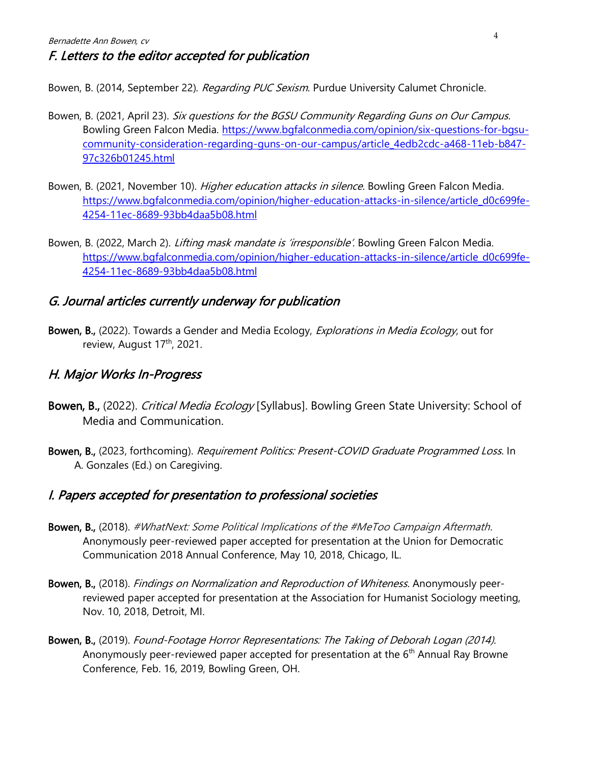Bowen, B. (2014, September 22). Regarding PUC Sexism. Purdue University Calumet Chronicle.

- Bowen, B. (2021, April 23). Six questions for the BGSU Community Regarding Guns on Our Campus. Bowling Green Falcon Media. [https://www.bgfalconmedia.com/opinion/six-questions-for-bgsu](https://www.bgfalconmedia.com/opinion/six-questions-for-bgsu-community-consideration-regarding-guns-on-our-campus/article_4edb2cdc-a468-11eb-b847-97c326b01245.html)[community-consideration-regarding-guns-on-our-campus/article\\_4edb2cdc-a468-11eb-b847-](https://www.bgfalconmedia.com/opinion/six-questions-for-bgsu-community-consideration-regarding-guns-on-our-campus/article_4edb2cdc-a468-11eb-b847-97c326b01245.html) [97c326b01245.html](https://www.bgfalconmedia.com/opinion/six-questions-for-bgsu-community-consideration-regarding-guns-on-our-campus/article_4edb2cdc-a468-11eb-b847-97c326b01245.html)
- Bowen, B. (2021, November 10). *Higher education attacks in silence*. Bowling Green Falcon Media. [https://www.bgfalconmedia.com/opinion/higher-education-attacks-in-silence/article\\_d0c699fe-](https://www.bgfalconmedia.com/opinion/higher-education-attacks-in-silence/article_d0c699fe-4254-11ec-8689-93bb4daa5b08.html)[4254-11ec-8689-93bb4daa5b08.html](https://www.bgfalconmedia.com/opinion/higher-education-attacks-in-silence/article_d0c699fe-4254-11ec-8689-93bb4daa5b08.html)
- Bowen, B. (2022, March 2). Lifting mask mandate is 'irresponsible'. Bowling Green Falcon Media. [https://www.bgfalconmedia.com/opinion/higher-education-attacks-in-silence/article\\_d0c699fe-](https://www.bgfalconmedia.com/opinion/higher-education-attacks-in-silence/article_d0c699fe-4254-11ec-8689-93bb4daa5b08.html)[4254-11ec-8689-93bb4daa5b08.html](https://www.bgfalconmedia.com/opinion/higher-education-attacks-in-silence/article_d0c699fe-4254-11ec-8689-93bb4daa5b08.html)

# G. Journal articles currently underway for publication

Bowen, B., (2022). Towards a Gender and Media Ecology, *Explorations in Media Ecology*, out for review, August 17<sup>th</sup>, 2021.

# H. Major Works In-Progress

- Bowen, B., (2022). Critical Media Ecology [Syllabus]. Bowling Green State University: School of Media and Communication.
- Bowen, B., (2023, forthcoming). Requirement Politics: Present-COVID Graduate Programmed Loss. In A. Gonzales (Ed.) on Caregiving.

# I. Papers accepted for presentation to professional societies

- Bowen, B., (2018). #WhatNext: Some Political Implications of the #MeToo Campaign Aftermath. Anonymously peer-reviewed paper accepted for presentation at the Union for Democratic Communication 2018 Annual Conference, May 10, 2018, Chicago, IL.
- Bowen, B., (2018). Findings on Normalization and Reproduction of Whiteness. Anonymously peerreviewed paper accepted for presentation at the Association for Humanist Sociology meeting, Nov. 10, 2018, Detroit, MI.
- Bowen, B., (2019). Found-Footage Horror Representations: The Taking of Deborah Logan (2014). Anonymously peer-reviewed paper accepted for presentation at the  $6<sup>th</sup>$  Annual Ray Browne Conference, Feb. 16, 2019, Bowling Green, OH.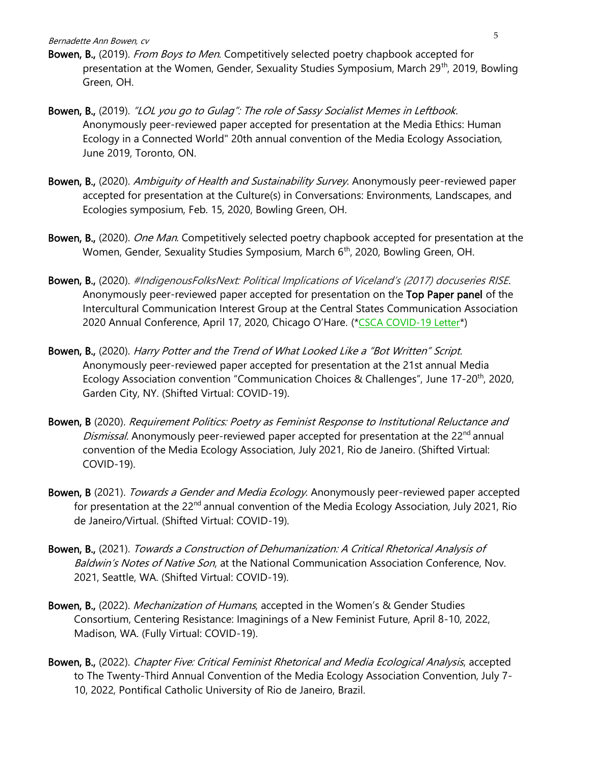- Bowen, B., (2019). *From Boys to Men*. Competitively selected poetry chapbook accepted for presentation at the Women, Gender, Sexuality Studies Symposium, March 29<sup>th</sup>, 2019, Bowling Green, OH.
- Bowen, B., (2019). "LOL you go to Gulag": The role of Sassy Socialist Memes in Leftbook. Anonymously peer-reviewed paper accepted for presentation at the Media Ethics: Human Ecology in a Connected World" 20th annual convention of the Media Ecology Association, June 2019, Toronto, ON.
- Bowen, B., (2020). Ambiguity of Health and Sustainability Survey. Anonymously peer-reviewed paper accepted for presentation at the Culture(s) in Conversations: Environments, Landscapes, and Ecologies symposium, Feb. 15, 2020, Bowling Green, OH.
- Bowen, B., (2020). One Man. Competitively selected poetry chapbook accepted for presentation at the Women, Gender, Sexuality Studies Symposium, March 6<sup>th</sup>, 2020, Bowling Green, OH.
- Bowen, B., (2020). #IndigenousFolksNext: Political Implications of Viceland's (2017) docuseries RISE. Anonymously peer-reviewed paper accepted for presentation on the Top Paper panel of the Intercultural Communication Interest Group at the Central States Communication Association 2020 Annual Conference, April 17, 2020, Chicago O'Hare. (\*[CSCA COVID-19 Letter](https://associationdatabase.com/aws/CSCA/asset_manager/get_file/431393?ver=5)\*)
- Bowen, B., (2020). Harry Potter and the Trend of What Looked Like a "Bot Written" Script. Anonymously peer-reviewed paper accepted for presentation at the 21st annual Media Ecology Association convention "Communication Choices & Challenges", June 17-20<sup>th</sup>, 2020, Garden City, NY. (Shifted Virtual: COVID-19).
- Bowen, B (2020). Requirement Politics: Poetry as Feminist Response to Institutional Reluctance and Dismissal. Anonymously peer-reviewed paper accepted for presentation at the  $22<sup>nd</sup>$  annual convention of the Media Ecology Association, July 2021, Rio de Janeiro. (Shifted Virtual: COVID-19).
- Bowen, B (2021). Towards a Gender and Media Ecology. Anonymously peer-reviewed paper accepted for presentation at the 22<sup>nd</sup> annual convention of the Media Ecology Association, July 2021, Rio de Janeiro/Virtual. (Shifted Virtual: COVID-19).
- Bowen, B., (2021). Towards a Construction of Dehumanization: A Critical Rhetorical Analysis of Baldwin's Notes of Native Son, at the National Communication Association Conference, Nov. 2021, Seattle, WA. (Shifted Virtual: COVID-19).
- Bowen, B., (2022). Mechanization of Humans, accepted in the Women's & Gender Studies Consortium, Centering Resistance: Imaginings of a New Feminist Future, April 8-10, 2022, Madison, WA. (Fully Virtual: COVID-19).
- Bowen, B., (2022). Chapter Five: Critical Feminist Rhetorical and Media Ecological Analysis, accepted to The Twenty-Third Annual Convention of the Media Ecology Association Convention, July 7- 10, 2022, Pontifical Catholic University of Rio de Janeiro, Brazil.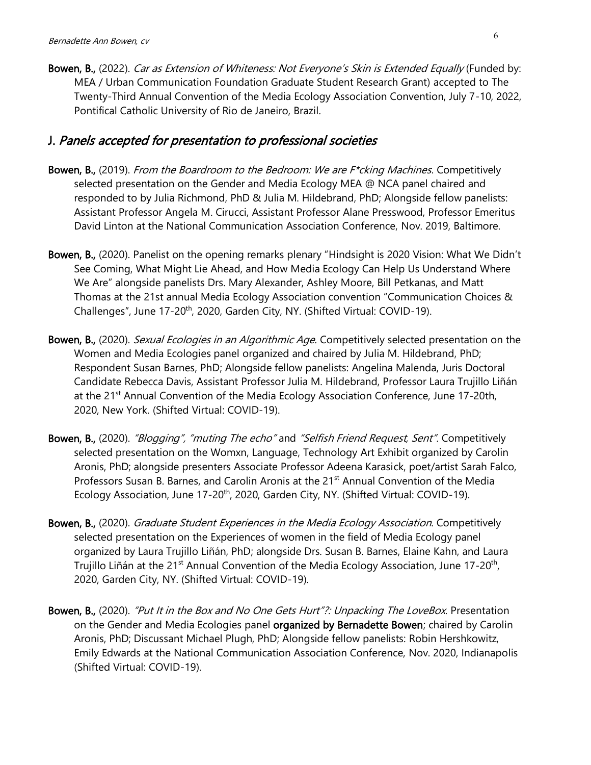Bowen, B., (2022). Car as Extension of Whiteness: Not Everyone's Skin is Extended Equally (Funded by: MEA / Urban Communication Foundation Graduate Student Research Grant) accepted to The Twenty-Third Annual Convention of the Media Ecology Association Convention, July 7-10, 2022, Pontifical Catholic University of Rio de Janeiro, Brazil.

### J. Panels accepted for presentation to professional societies

- Bowen, B., (2019). From the Boardroom to the Bedroom: We are F\*cking Machines. Competitively selected presentation on the Gender and Media Ecology MEA @ NCA panel chaired and responded to by Julia Richmond, PhD & Julia M. Hildebrand, PhD; Alongside fellow panelists: Assistant Professor Angela M. Cirucci, Assistant Professor Alane Presswood, Professor Emeritus David Linton at the National Communication Association Conference, Nov. 2019, Baltimore.
- Bowen, B., (2020). Panelist on the opening remarks plenary "Hindsight is 2020 Vision: What We Didn't See Coming, What Might Lie Ahead, and How Media Ecology Can Help Us Understand Where We Are" alongside panelists Drs. Mary Alexander, Ashley Moore, Bill Petkanas, and Matt Thomas at the 21st annual Media Ecology Association convention "Communication Choices & Challenges", June 17-20<sup>th</sup>, 2020, Garden City, NY. (Shifted Virtual: COVID-19).
- Bowen, B., (2020). Sexual Ecologies in an Algorithmic Age. Competitively selected presentation on the Women and Media Ecologies panel organized and chaired by Julia M. Hildebrand, PhD; Respondent Susan Barnes, PhD; Alongside fellow panelists: Angelina Malenda, Juris Doctoral Candidate Rebecca Davis, Assistant Professor Julia M. Hildebrand, Professor Laura Trujillo Liñán at the 21<sup>st</sup> Annual Convention of the Media Ecology Association Conference, June 17-20th, 2020, New York. (Shifted Virtual: COVID-19).
- Bowen, B., (2020). "Blogging", "muting The echo" and "Selfish Friend Request, Sent". Competitively selected presentation on the Womxn, Language, Technology Art Exhibit organized by Carolin Aronis, PhD; alongside presenters Associate Professor Adeena Karasick, poet/artist Sarah Falco, Professors Susan B. Barnes, and Carolin Aronis at the 21<sup>st</sup> Annual Convention of the Media Ecology Association, June 17-20<sup>th</sup>, 2020, Garden City, NY. (Shifted Virtual: COVID-19).
- Bowen, B., (2020). *Graduate Student Experiences in the Media Ecology Association*. Competitively selected presentation on the Experiences of women in the field of Media Ecology panel organized by Laura Trujillo Liñán, PhD; alongside Drs. Susan B. Barnes, Elaine Kahn, and Laura Trujillo Liñán at the 21<sup>st</sup> Annual Convention of the Media Ecology Association, June 17-20<sup>th</sup>, 2020, Garden City, NY. (Shifted Virtual: COVID-19).
- Bowen, B., (2020). "Put It in the Box and No One Gets Hurt"?: Unpacking The LoveBox. Presentation on the Gender and Media Ecologies panel organized by Bernadette Bowen; chaired by Carolin Aronis, PhD; Discussant Michael Plugh, PhD; Alongside fellow panelists: Robin Hershkowitz, Emily Edwards at the National Communication Association Conference, Nov. 2020, Indianapolis (Shifted Virtual: COVID-19).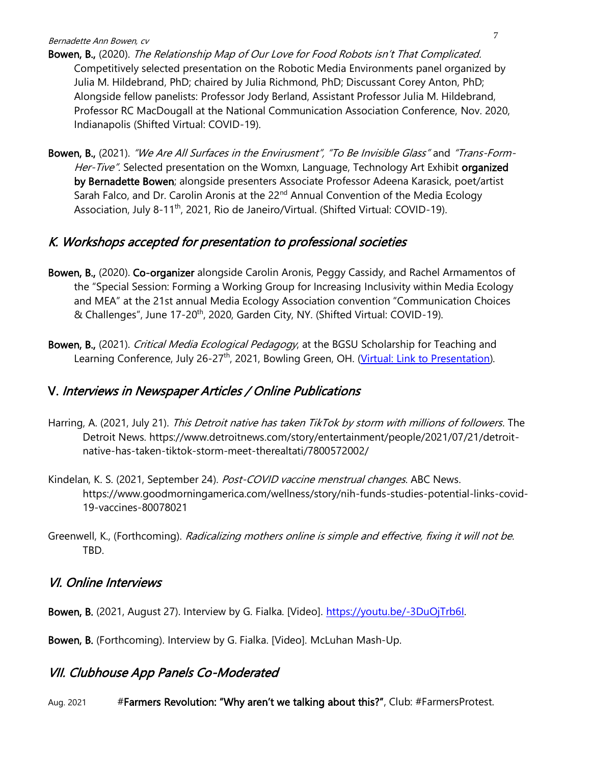- Bowen, B., (2020). The Relationship Map of Our Love for Food Robots isn't That Complicated. Competitively selected presentation on the Robotic Media Environments panel organized by Julia M. Hildebrand, PhD; chaired by Julia Richmond, PhD; Discussant Corey Anton, PhD; Alongside fellow panelists: Professor Jody Berland, Assistant Professor Julia M. Hildebrand, Professor RC MacDougall at the National Communication Association Conference, Nov. 2020, Indianapolis (Shifted Virtual: COVID-19).
- Bowen, B., (2021). "We Are All Surfaces in the Envirusment", "To Be Invisible Glass" and "Trans-Form-Her-Tive". Selected presentation on the Womxn, Language, Technology Art Exhibit organized by Bernadette Bowen; alongside presenters Associate Professor Adeena Karasick, poet/artist Sarah Falco, and Dr. Carolin Aronis at the 22<sup>nd</sup> Annual Convention of the Media Ecology Association, July 8-11<sup>th</sup>, 2021, Rio de Janeiro/Virtual. (Shifted Virtual: COVID-19).

# K. Workshops accepted for presentation to professional societies

- Bowen, B., (2020). Co-organizer alongside Carolin Aronis, Peggy Cassidy, and Rachel Armamentos of the "Special Session: Forming a Working Group for Increasing Inclusivity within Media Ecology and MEA" at the 21st annual Media Ecology Association convention "Communication Choices & Challenges", June 17-20<sup>th</sup>, 2020, Garden City, NY. (Shifted Virtual: COVID-19).
- Bowen, B., (2021). Critical Media Ecological Pedagogy, at the BGSU Scholarship for Teaching and Learning Conference, July 26-27<sup>th</sup>, 2021, Bowling Green, OH. [\(Virtual: Link](https://scholarworks.bgsu.edu/sotl_conference/2021/001/1) to Presentation).

# V. Interviews in Newspaper Articles / Online Publications

- Harring, A. (2021, July 21). This Detroit native has taken TikTok by storm with millions of followers. The Detroit News. [https://www.detroitnews.com/story/entertainment/people/2021/07/21/detroit](https://www.detroitnews.com/story/entertainment/people/2021/07/21/detroit-native-has-taken-tiktok-storm-meet-therealtati/7800572002/)[native-has-taken-tiktok-storm-meet-therealtati/7800572002/](https://www.detroitnews.com/story/entertainment/people/2021/07/21/detroit-native-has-taken-tiktok-storm-meet-therealtati/7800572002/)
- Kindelan, K. S. (2021, September 24). Post-COVID vaccine menstrual changes. ABC News. [https://www.goodmorningamerica.com/wellness/story/nih-funds-studies-potential-links-covid-](https://www.goodmorningamerica.com/wellness/story/nih-funds-studies-potential-links-covid-19-vaccines-80078021)[19-vaccines-80078021](https://www.goodmorningamerica.com/wellness/story/nih-funds-studies-potential-links-covid-19-vaccines-80078021)
- Greenwell, K., (Forthcoming). Radicalizing mothers online is simple and effective, fixing it will not be. TBD.

# VI. Online Interviews

Bowen, B. (2021, August 27). Interview by G. Fialka. [Video]. [https://youtu.be/-3DuOjTrb6I.](https://youtu.be/-3DuOjTrb6I)

Bowen, B. (Forthcoming). Interview by G. Fialka. [Video]. McLuhan Mash-Up.

# VII. Clubhouse App Panels Co-Moderated

Aug. 2021 #Farmers Revolution: "Why aren't we talking about this?", Club: #FarmersProtest.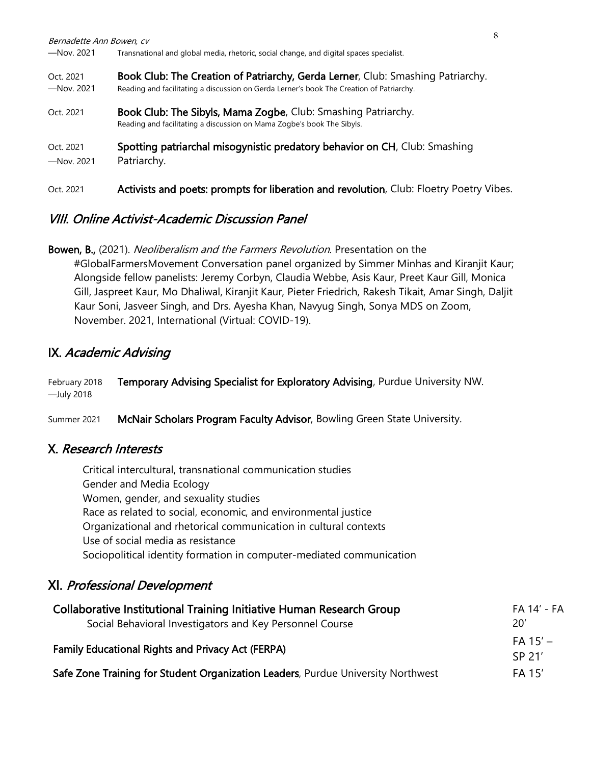| Bernadette Ann Bowen, cv<br>$-$ Nov. 2021 | Transnational and global media, rhetoric, social change, and digital spaces specialist.                                                                                     | 8 |
|-------------------------------------------|-----------------------------------------------------------------------------------------------------------------------------------------------------------------------------|---|
| Oct. 2021<br>$-$ Nov. 2021                | Book Club: The Creation of Patriarchy, Gerda Lerner, Club: Smashing Patriarchy.<br>Reading and facilitating a discussion on Gerda Lerner's book The Creation of Patriarchy. |   |
| Oct. 2021                                 | Book Club: The Sibyls, Mama Zogbe, Club: Smashing Patriarchy.<br>Reading and facilitating a discussion on Mama Zogbe's book The Sibyls.                                     |   |
| Oct. 2021<br>$-$ Nov. 2021                | Spotting patriarchal misogynistic predatory behavior on CH, Club: Smashing<br>Patriarchy.                                                                                   |   |
| Oct. 2021                                 | Activists and poets: prompts for liberation and revolution, Club: Floetry Poetry Vibes.                                                                                     |   |

# VIII. Online Activist-Academic Discussion Panel

Bowen, B., (2021). Neoliberalism and the Farmers Revolution. Presentation on the #GlobalFarmersMovement Conversation panel organized by Simmer Minhas and Kiranjit Kaur; Alongside fellow panelists: Jeremy Corbyn, Claudia Webbe, Asis Kaur, Preet Kaur Gill, Monica Gill, Jaspreet Kaur, Mo Dhaliwal, Kiranjit Kaur, Pieter Friedrich, Rakesh Tikait, Amar Singh, Daljit Kaur Soni, Jasveer Singh, and Drs. Ayesha Khan, Navyug Singh, Sonya MDS on Zoom, November. 2021, International (Virtual: COVID-19).

# IX. Academic Advising

| February 2018 | Temporary Advising Specialist for Exploratory Advising, Purdue University NW. |
|---------------|-------------------------------------------------------------------------------|
| —July 2018    |                                                                               |

Summer 2021 McNair Scholars Program Faculty Advisor, Bowling Green State University.

### X. Research Interests

Critical intercultural, transnational communication studies Gender and Media Ecology Women, gender, and sexuality studies Race as related to social, economic, and environmental justice Organizational and rhetorical communication in cultural contexts Use of social media as resistance Sociopolitical identity formation in computer-mediated communication

# XI. Professional Development

| Collaborative Institutional Training Initiative Human Research Group             | FA 14' - FA          |
|----------------------------------------------------------------------------------|----------------------|
| Social Behavioral Investigators and Key Personnel Course                         | 20'                  |
| <b>Family Educational Rights and Privacy Act (FERPA)</b>                         | $FA 15' -$<br>SP 21' |
| Safe Zone Training for Student Organization Leaders, Purdue University Northwest | FA 15'               |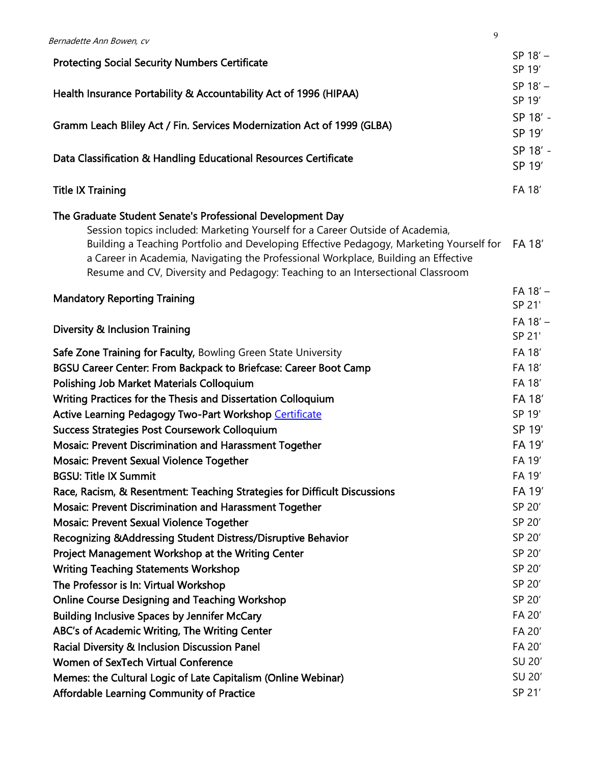| Bernadette Ann Bowen, cv                                                                                                                                             | 9 |                      |
|----------------------------------------------------------------------------------------------------------------------------------------------------------------------|---|----------------------|
|                                                                                                                                                                      |   | $SP 18' -$           |
| <b>Protecting Social Security Numbers Certificate</b>                                                                                                                |   | SP 19'               |
| Health Insurance Portability & Accountability Act of 1996 (HIPAA)                                                                                                    |   | $SP 18' -$           |
|                                                                                                                                                                      |   | SP 19'               |
| Gramm Leach Bliley Act / Fin. Services Modernization Act of 1999 (GLBA)                                                                                              |   | SP 18' -             |
|                                                                                                                                                                      |   | SP 19'               |
|                                                                                                                                                                      |   | SP 18' -             |
| Data Classification & Handling Educational Resources Certificate                                                                                                     |   | SP 19'               |
| <b>Title IX Training</b>                                                                                                                                             |   | FA 18'               |
| The Graduate Student Senate's Professional Development Day                                                                                                           |   |                      |
| Session topics included: Marketing Yourself for a Career Outside of Academia,                                                                                        |   |                      |
| Building a Teaching Portfolio and Developing Effective Pedagogy, Marketing Yourself for                                                                              |   | FA 18'               |
| a Career in Academia, Navigating the Professional Workplace, Building an Effective<br>Resume and CV, Diversity and Pedagogy: Teaching to an Intersectional Classroom |   |                      |
|                                                                                                                                                                      |   |                      |
| <b>Mandatory Reporting Training</b>                                                                                                                                  |   | $FA 18' -$<br>SP 21' |
|                                                                                                                                                                      |   |                      |
| <b>Diversity &amp; Inclusion Training</b>                                                                                                                            |   | $FA 18' -$<br>SP 21' |
| Safe Zone Training for Faculty, Bowling Green State University                                                                                                       |   | FA 18'               |
| BGSU Career Center: From Backpack to Briefcase: Career Boot Camp                                                                                                     |   | FA 18'               |
| <b>Polishing Job Market Materials Colloquium</b>                                                                                                                     |   | FA 18'               |
| Writing Practices for the Thesis and Dissertation Colloquium                                                                                                         |   | FA 18'               |
| Active Learning Pedagogy Two-Part Workshop Certificate                                                                                                               |   | SP 19'               |
| <b>Success Strategies Post Coursework Colloquium</b>                                                                                                                 |   | SP 19'               |
| Mosaic: Prevent Discrimination and Harassment Together                                                                                                               |   | FA 19'               |
| Mosaic: Prevent Sexual Violence Together                                                                                                                             |   | FA 19'               |
| <b>BGSU: Title IX Summit</b>                                                                                                                                         |   | FA 19'               |
| Race, Racism, & Resentment: Teaching Strategies for Difficult Discussions                                                                                            |   | FA 19'               |
| <b>Mosaic: Prevent Discrimination and Harassment Together</b>                                                                                                        |   | SP 20'               |
| Mosaic: Prevent Sexual Violence Together                                                                                                                             |   | SP 20'               |
| Recognizing & Addressing Student Distress/Disruptive Behavior                                                                                                        |   | SP 20'               |
| Project Management Workshop at the Writing Center                                                                                                                    |   | SP 20'               |
| <b>Writing Teaching Statements Workshop</b>                                                                                                                          |   | SP 20'               |
| The Professor is In: Virtual Workshop                                                                                                                                |   | SP 20'               |
| <b>Online Course Designing and Teaching Workshop</b>                                                                                                                 |   | SP 20'               |
| <b>Building Inclusive Spaces by Jennifer McCary</b>                                                                                                                  |   | FA 20'               |
| ABC's of Academic Writing, The Writing Center                                                                                                                        |   | FA 20'               |
| Racial Diversity & Inclusion Discussion Panel                                                                                                                        |   | FA 20'               |
| Women of SexTech Virtual Conference                                                                                                                                  |   | SU 20'               |
| Memes: the Cultural Logic of Late Capitalism (Online Webinar)                                                                                                        |   | SU 20'               |
| <b>Affordable Learning Community of Practice</b>                                                                                                                     |   | SP 21'               |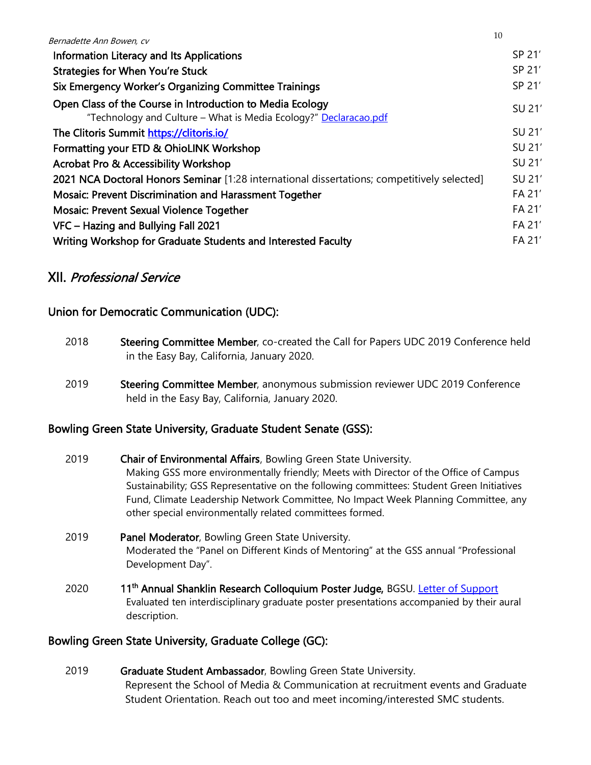| Bernadette Ann Bowen, cv                                                                                                      | - 11 |        |
|-------------------------------------------------------------------------------------------------------------------------------|------|--------|
| Information Literacy and Its Applications                                                                                     |      | SP 21' |
| <b>Strategies for When You're Stuck</b>                                                                                       |      | SP 21' |
| Six Emergency Worker's Organizing Committee Trainings                                                                         |      | SP 21' |
| Open Class of the Course in Introduction to Media Ecology<br>"Technology and Culture - What is Media Ecology?" Declaracao.pdf |      | SU 21' |
| The Clitoris Summit https://clitoris.io/                                                                                      |      | SU 21' |
| Formatting your ETD & OhioLINK Workshop                                                                                       |      | SU 21' |
| <b>Acrobat Pro &amp; Accessibility Workshop</b>                                                                               |      | SU 21' |
| 2021 NCA Doctoral Honors Seminar [1:28 international dissertations; competitively selected]                                   |      | SU 21' |
| <b>Mosaic: Prevent Discrimination and Harassment Together</b>                                                                 |      | FA 21' |
| <b>Mosaic: Prevent Sexual Violence Together</b>                                                                               |      | FA 21' |
| VFC - Hazing and Bullying Fall 2021                                                                                           |      | FA 21' |
| Writing Workshop for Graduate Students and Interested Faculty                                                                 |      | FA 21' |

 $1<sub>0</sub>$ 

# XII. Professional Service

### Union for Democratic Communication (UDC):

- 2018 Steering Committee Member, co-created the Call for Papers UDC 2019 Conference held in the Easy Bay, California, January 2020.
- 2019 Steering Committee Member, anonymous submission reviewer UDC 2019 Conference held in the Easy Bay, California, January 2020.

### Bowling Green State University, Graduate Student Senate (GSS):

- 2019 Chair of Environmental Affairs, Bowling Green State University. Making GSS more environmentally friendly; Meets with Director of the Office of Campus Sustainability; GSS Representative on the following committees: Student Green Initiatives Fund, Climate Leadership Network Committee, No Impact Week Planning Committee, any other special environmentally related committees formed.
- 2019 Panel Moderator, Bowling Green State University. Moderated the "Panel on Different Kinds of Mentoring" at the GSS annual "Professional Development Day".
- 2020 11<sup>th</sup> Annual Shanklin Research Colloquium Poster Judge, BGSU. [Letter of Support](https://1drv.ms/b/s!ApZEUsVEm43FwCmZ7OVp_Bf6T4d4?e=uDBabK) Evaluated ten interdisciplinary graduate poster presentations accompanied by their aural description.

#### Bowling Green State University, Graduate College (GC):

2019 Graduate Student Ambassador, Bowling Green State University. Represent the School of Media & Communication at recruitment events and Graduate Student Orientation. Reach out too and meet incoming/interested SMC students.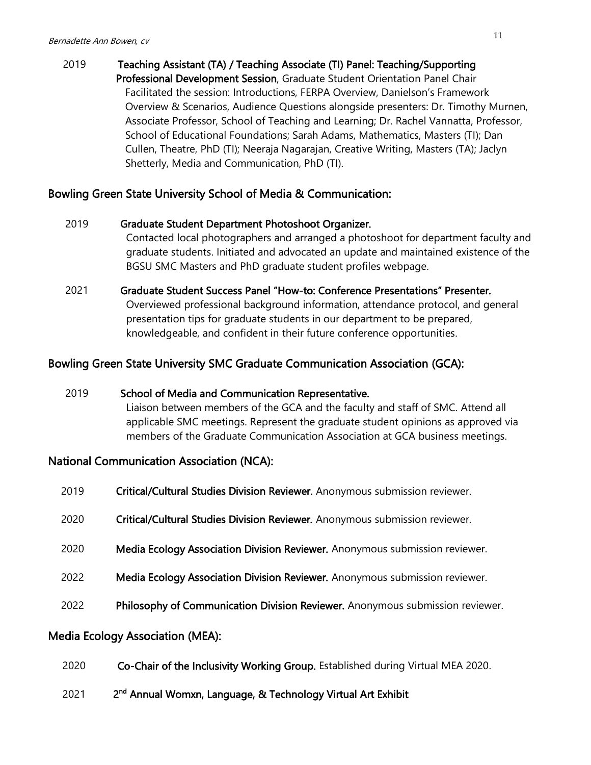### 2019 Teaching Assistant (TA) / Teaching Associate (TI) Panel: Teaching/Supporting Professional Development Session, Graduate Student Orientation Panel Chair Facilitated the session: Introductions, FERPA Overview, Danielson's Framework Overview & Scenarios, Audience Questions alongside presenters: Dr. Timothy Murnen, Associate Professor, School of Teaching and Learning; Dr. Rachel Vannatta, Professor, School of Educational Foundations; Sarah Adams, Mathematics, Masters (TI); Dan Cullen, Theatre, PhD (TI); Neeraja Nagarajan, Creative Writing, Masters (TA); Jaclyn Shetterly, Media and Communication, PhD (TI).

#### Bowling Green State University School of Media & Communication:

| 2019 | Graduate Student Department Photoshoot Organizer.                                    |
|------|--------------------------------------------------------------------------------------|
|      | Contacted local photographers and arranged a photoshoot for department faculty and   |
|      | graduate students. Initiated and advocated an update and maintained existence of the |
|      | BGSU SMC Masters and PhD graduate student profiles webpage.                          |
|      |                                                                                      |
| 2021 | Graduate Student Success Panel "How-to: Conference Presentations" Presenter.         |

Overviewed professional background information, attendance protocol, and general presentation tips for graduate students in our department to be prepared, knowledgeable, and confident in their future conference opportunities.

#### Bowling Green State University SMC Graduate Communication Association (GCA):

 2019 School of Media and Communication Representative. Liaison between members of the GCA and the faculty and staff of SMC. Attend all applicable SMC meetings. Represent the graduate student opinions as approved via members of the Graduate Communication Association at GCA business meetings.

#### National Communication Association (NCA):

| 2019 | Critical/Cultural Studies Division Reviewer. Anonymous submission reviewer.   |
|------|-------------------------------------------------------------------------------|
| 2020 | Critical/Cultural Studies Division Reviewer. Anonymous submission reviewer.   |
| 2020 | Media Ecology Association Division Reviewer. Anonymous submission reviewer.   |
| 2022 | Media Ecology Association Division Reviewer. Anonymous submission reviewer.   |
| 2022 | Philosophy of Communication Division Reviewer. Anonymous submission reviewer. |
|      |                                                                               |

#### Media Ecology Association (MEA):

- 2020 Co-Chair of the Inclusivity Working Group. Established during Virtual MEA 2020.
- 2021 <sup>nd</sup> Annual Womxn, Language, & Technology Virtual Art Exhibit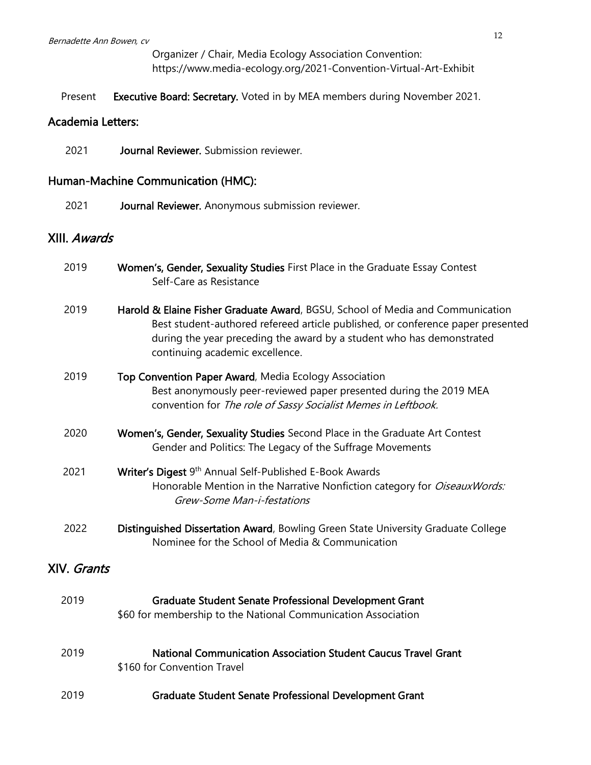Organizer / Chair, Media Ecology Association Convention: <https://www.media-ecology.org/2021-Convention-Virtual-Art-Exhibit>

Present Executive Board: Secretary. Voted in by MEA members during November 2021.

#### Academia Letters:

2021 Journal Reviewer. Submission reviewer.

#### Human-Machine Communication (HMC):

2021 **Journal Reviewer.** Anonymous submission reviewer.

#### XIII. Awards

| 2019 | Women's, Gender, Sexuality Studies First Place in the Graduate Essay Contest |
|------|------------------------------------------------------------------------------|
|      | Self-Care as Resistance                                                      |
|      |                                                                              |

- 2019 Harold & Elaine Fisher Graduate Award, BGSU, School of Media and Communication Best student-authored refereed article published, or conference paper presented during the year preceding the award by a student who has demonstrated continuing academic excellence.
- 2019 Top Convention Paper Award, Media Ecology Association Best anonymously peer-reviewed paper presented during the 2019 MEA convention for The role of Sassy Socialist Memes in Leftbook.
- 2020 Women's, Gender, Sexuality Studies Second Place in the Graduate Art Contest Gender and Politics: The Legacy of the Suffrage Movements
- 2021 **Writer's Digest** 9<sup>th</sup> Annual Self-Published E-Book Awards Honorable Mention in the Narrative Nonfiction category for *OiseauxWords:* Grew-Some Man-i-festations
- 2022 **Distinguished Dissertation Award**, Bowling Green State University Graduate College Nominee for the School of Media & Communication

#### XIV. Grants

| 2019 | <b>Graduate Student Senate Professional Development Grant</b><br>\$60 for membership to the National Communication Association |
|------|--------------------------------------------------------------------------------------------------------------------------------|
| 2019 | <b>National Communication Association Student Caucus Travel Grant</b><br>\$160 for Convention Travel                           |
| 2019 | <b>Graduate Student Senate Professional Development Grant</b>                                                                  |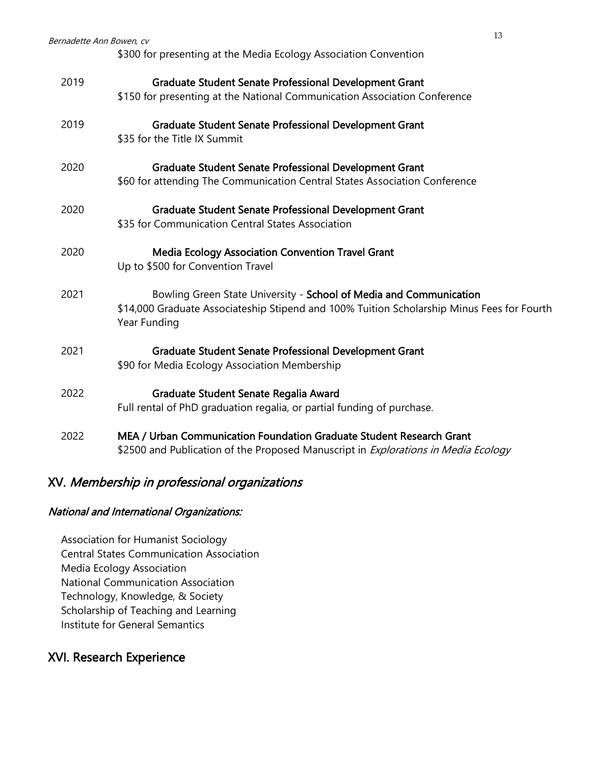| Bernadette Ann Bowen, cv | 13<br>\$300 for presenting at the Media Ecology Association Convention                                                                                                           |
|--------------------------|----------------------------------------------------------------------------------------------------------------------------------------------------------------------------------|
| 2019                     | <b>Graduate Student Senate Professional Development Grant</b><br>\$150 for presenting at the National Communication Association Conference                                       |
| 2019                     | <b>Graduate Student Senate Professional Development Grant</b><br>\$35 for the Title IX Summit                                                                                    |
| 2020                     | <b>Graduate Student Senate Professional Development Grant</b><br>\$60 for attending The Communication Central States Association Conference                                      |
| 2020                     | <b>Graduate Student Senate Professional Development Grant</b><br>\$35 for Communication Central States Association                                                               |
| 2020                     | <b>Media Ecology Association Convention Travel Grant</b><br>Up to \$500 for Convention Travel                                                                                    |
| 2021                     | Bowling Green State University - School of Media and Communication<br>\$14,000 Graduate Associateship Stipend and 100% Tuition Scholarship Minus Fees for Fourth<br>Year Funding |
| 2021                     | <b>Graduate Student Senate Professional Development Grant</b><br>\$90 for Media Ecology Association Membership                                                                   |
| 2022                     | Graduate Student Senate Regalia Award<br>Full rental of PhD graduation regalia, or partial funding of purchase.                                                                  |
| 2022                     | MEA / Urban Communication Foundation Graduate Student Research Grant<br>\$2500 and Publication of the Proposed Manuscript in Explorations in Media Ecology                       |

# XV. Membership in professional organizations

### National and International Organizations:

Association for Humanist Sociology Central States Communication Association Media Ecology Association National Communication Association Technology, Knowledge, & Society Scholarship of Teaching and Learning Institute for General Semantics

# XVI. Research Experience